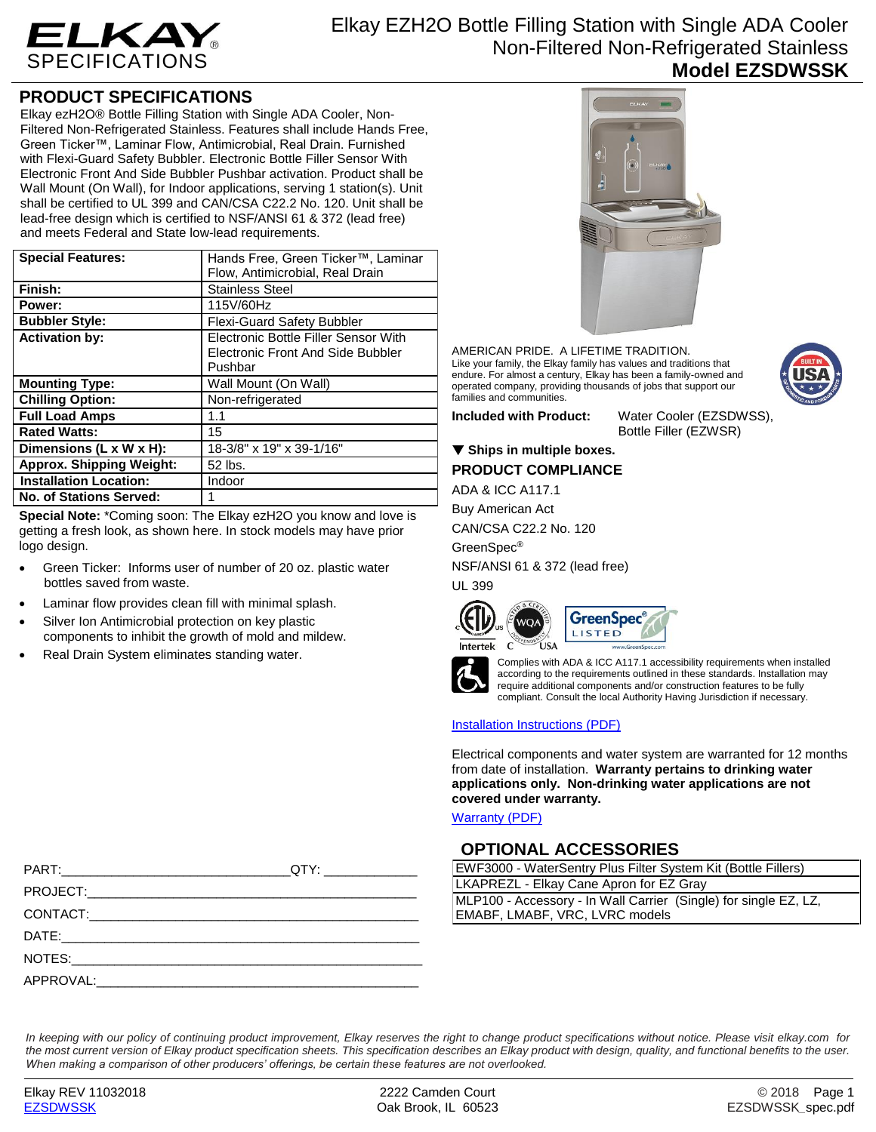

# **PRODUCT SPECIFICATIONS**

Elkay ezH2O® Bottle Filling Station with Single ADA Cooler, Non-Filtered Non-Refrigerated Stainless. Features shall include Hands Free, Green Ticker™, Laminar Flow, Antimicrobial, Real Drain. Furnished with Flexi-Guard Safety Bubbler. Electronic Bottle Filler Sensor With Electronic Front And Side Bubbler Pushbar activation. Product shall be Wall Mount (On Wall), for Indoor applications, serving 1 station(s). Unit shall be certified to UL 399 and CAN/CSA C22.2 No. 120. Unit shall be lead-free design which is certified to NSF/ANSI 61 & 372 (lead free) and meets Federal and State low-lead requirements.

| <b>Special Features:</b>        | Hands Free, Green Ticker™, Laminar       |
|---------------------------------|------------------------------------------|
|                                 | Flow, Antimicrobial, Real Drain          |
| Finish:                         | <b>Stainless Steel</b>                   |
| Power:                          | 115V/60Hz                                |
| <b>Bubbler Style:</b>           | <b>Flexi-Guard Safety Bubbler</b>        |
| <b>Activation by:</b>           | Electronic Bottle Filler Sensor With     |
|                                 | <b>Electronic Front And Side Bubbler</b> |
|                                 | Pushbar                                  |
| <b>Mounting Type:</b>           | Wall Mount (On Wall)                     |
| <b>Chilling Option:</b>         | Non-refrigerated                         |
| <b>Full Load Amps</b>           | 1.1                                      |
| <b>Rated Watts:</b>             | 15                                       |
| Dimensions (L x W x H):         | 18-3/8" x 19" x 39-1/16"                 |
| <b>Approx. Shipping Weight:</b> | 52 lbs.                                  |
| <b>Installation Location:</b>   | Indoor                                   |
| No. of Stations Served:         |                                          |

**Special Note:** \*Coming soon: The Elkay ezH2O you know and love is getting a fresh look, as shown here. In stock models may have prior logo design.

- Green Ticker: Informs user of number of 20 oz. plastic water bottles saved from waste.
- Laminar flow provides clean fill with minimal splash.
- Silver Ion Antimicrobial protection on key plastic components to inhibit the growth of mold and mildew.
- Real Drain System eliminates standing water.



AMERICAN PRIDE. A LIFETIME TRADITION. Like your family, the Elkay family has values and traditions that endure. For almost a century, Elkay has been a family-owned and operated company, providing thousands of jobs that support our families and communities.

**Included with Product:** Water Cooler (EZSDWSS), Bottle Filler (EZWSR)

## ▼ Ships in multiple boxes.

**PRODUCT COMPLIANCE**

ADA & ICC A117.1

Buy American Act

CAN/CSA C22.2 No. 120

GreenSpec®

NSF/ANSI 61 & 372 (lead free)

UL 399







Complies with ADA & ICC A117.1 accessibility requirements when installed according to the requirements outlined in these standards. Installation may require additional components and/or construction features to be fully compliant. Consult the local Authority Having Jurisdiction if necessary.

### [Installation Instructions \(PDF\)](http://www.elkay.com/wcsstore/lkdocs/care-cleaning-install-warranty-sheets/1000002207.pdf)

Electrical components and water system are warranted for 12 months from date of installation. **Warranty pertains to drinking water applications only. Non-drinking water applications are not covered under warranty.**

[Warranty](http://www.elkay.com/wcsstore/lkdocs/care-cleaning-install-warranty-sheets/96993c.pdf) (PDF)

## **OPTIONAL ACCESSORIES**

| EWF3000 - WaterSentry Plus Filter System Kit (Bottle Fillers)                                      |  |  |
|----------------------------------------------------------------------------------------------------|--|--|
| LKAPREZL - Elkay Cane Apron for EZ Gray                                                            |  |  |
| MLP100 - Accessory - In Wall Carrier (Single) for single EZ, LZ,<br>EMABF, LMABF, VRC, LVRC models |  |  |
|                                                                                                    |  |  |

*In keeping with our policy of continuing product improvement, Elkay reserves the right to change product specifications without notice. Please visit elkay.com for the most current version of Elkay product specification sheets. This specification describes an Elkay product with design, quality, and functional benefits to the user. When making a comparison of other producers' offerings, be certain these features are not overlooked.*